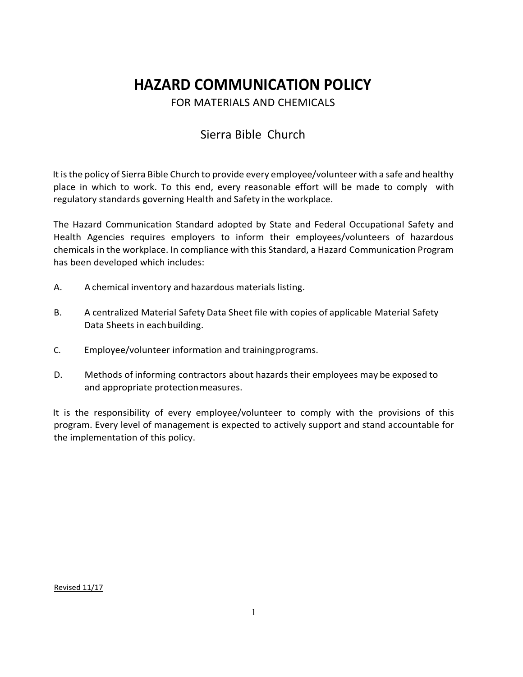# **HAZARD COMMUNICATION POLICY**

FOR MATERIALS AND CHEMICALS

## Sierra Bible Church

It is the policy of Sierra Bible Church to provide every employee/volunteer with a safe and healthy place in which to work. To this end, every reasonable effort will be made to comply with regulatory standards governing Health and Safety in the workplace.

The Hazard Communication Standard adopted by State and Federal Occupational Safety and Health Agencies requires employers to inform their employees/volunteers of hazardous chemicals in the workplace. In compliance with this Standard, a Hazard Communication Program has been developed which includes:

- A. A chemical inventory and hazardous materials listing.
- B. A centralized Material Safety Data Sheet file with copies of applicable Material Safety Data Sheets in eachbuilding.
- C. Employee/volunteer information and trainingprograms.
- D. Methods of informing contractors about hazards their employees may be exposed to and appropriate protectionmeasures.

It is the responsibility of every employee/volunteer to comply with the provisions of this program. Every level of management is expected to actively support and stand accountable for the implementation of this policy.

Revised 11/17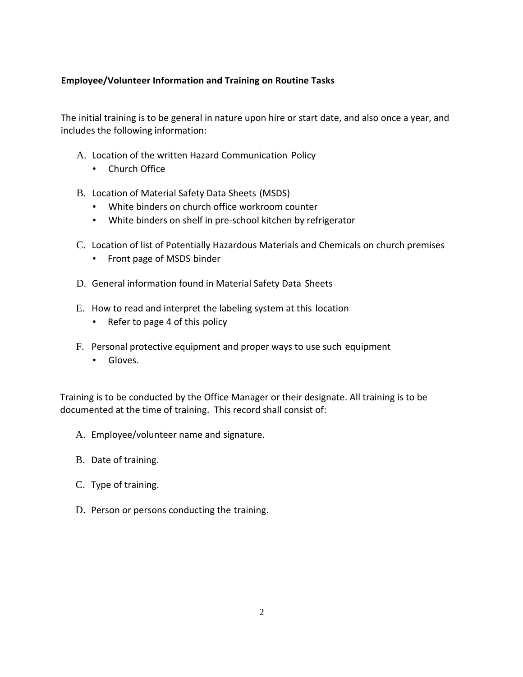### **Employee/Volunteer Information and Training on Routine Tasks**

The initial training is to be general in nature upon hire or start date, and also once a year, and includes the following information:

- A. Location of the written Hazard Communication Policy
	- Church Office
- B. Location of Material Safety Data Sheets (MSDS)
	- White binders on church office workroom counter
	- White binders on shelf in pre-school kitchen by refrigerator
- C. Location of list of Potentially Hazardous Materials and Chemicals on church premises
	- Front page of MSDS binder
- D. General information found in Material Safety Data Sheets
- E. How to read and interpret the labeling system at this location
	- Refer to page 4 of this policy
- F. Personal protective equipment and proper ways to use such equipment
	- Gloves.

Training is to be conducted by the Office Manager or their designate. All training is to be documented at the time of training. This record shall consist of:

- A. Employee/volunteer name and signature.
- B. Date of training.
- C. Type of training.
- D. Person or persons conducting the training.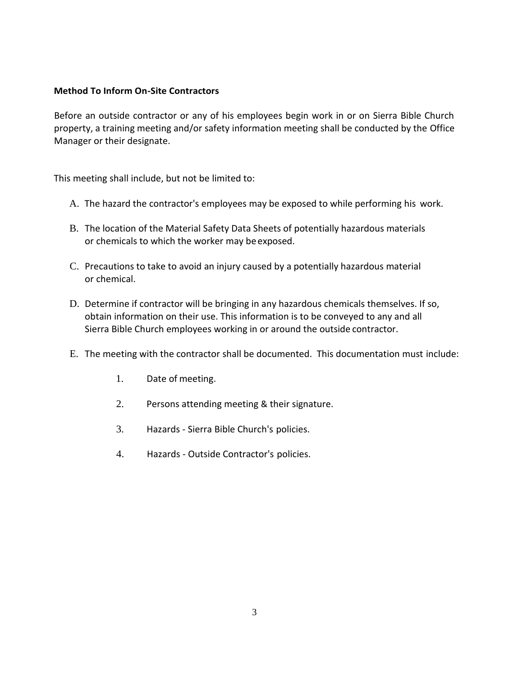#### **Method To Inform On-Site Contractors**

Before an outside contractor or any of his employees begin work in or on Sierra Bible Church property, a training meeting and/or safety information meeting shall be conducted by the Office Manager or their designate.

This meeting shall include, but not be limited to:

- A. The hazard the contractor's employees may be exposed to while performing his work.
- B. The location of the Material Safety Data Sheets of potentially hazardous materials or chemicals to which the worker may be exposed.
- C. Precautions to take to avoid an injury caused by a potentially hazardous material or chemical.
- D. Determine if contractor will be bringing in any hazardous chemicals themselves. If so, obtain information on their use. This information is to be conveyed to any and all Sierra Bible Church employees working in or around the outside contractor.
- E. The meeting with the contractor shall be documented. This documentation must include:
	- 1. Date of meeting.
	- 2. Persons attending meeting & their signature.
	- 3. Hazards Sierra Bible Church's policies.
	- 4. Hazards Outside Contractor's policies.